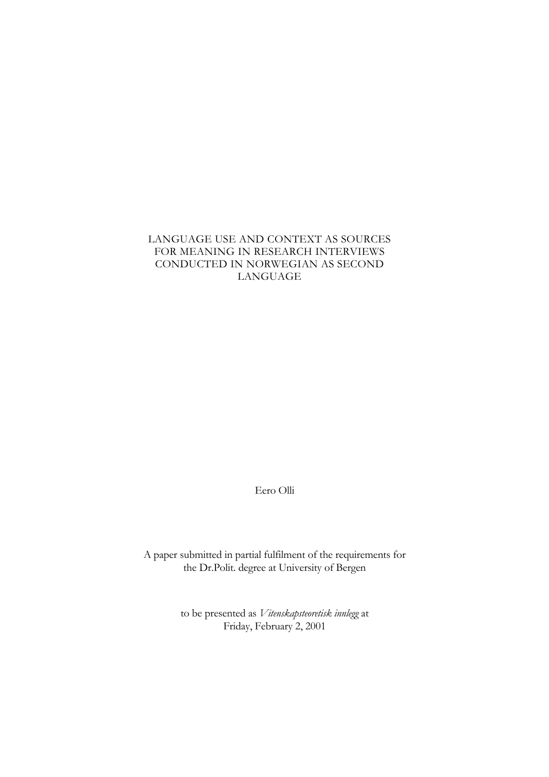### LANGUAGE USE AND CONTEXT AS SOURCES FOR MEANING IN RESEARCH INTERVIEWS CONDUCTED IN NORWEGIAN AS SECOND LANGUAGE

Eero Olli

A paper submitted in partial fulfilment of the requirements for the Dr.Polit. degree at University of Bergen

> to be presented as *Vitenskapsteoretisk innlegg* at Friday, February 2, 2001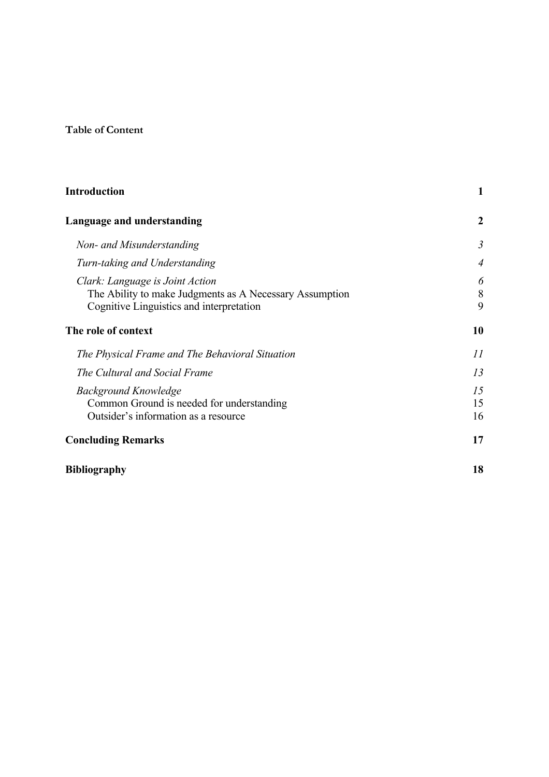# **Table of Content**

| <b>Introduction</b>                                                                                                                    | 1              |
|----------------------------------------------------------------------------------------------------------------------------------------|----------------|
| Language and understanding                                                                                                             | $\mathbf{2}$   |
| Non- and Misunderstanding                                                                                                              | $\mathfrak{Z}$ |
| Turn-taking and Understanding                                                                                                          | $\overline{4}$ |
| Clark: Language is Joint Action<br>The Ability to make Judgments as A Necessary Assumption<br>Cognitive Linguistics and interpretation | 6<br>8<br>9    |
| The role of context                                                                                                                    | 10             |
| The Physical Frame and The Behavioral Situation                                                                                        | 11             |
| The Cultural and Social Frame                                                                                                          | 13             |
| <b>Background Knowledge</b><br>Common Ground is needed for understanding<br>Outsider's information as a resource                       | 15<br>15<br>16 |
| <b>Concluding Remarks</b>                                                                                                              | 17             |
| <b>Bibliography</b>                                                                                                                    | 18             |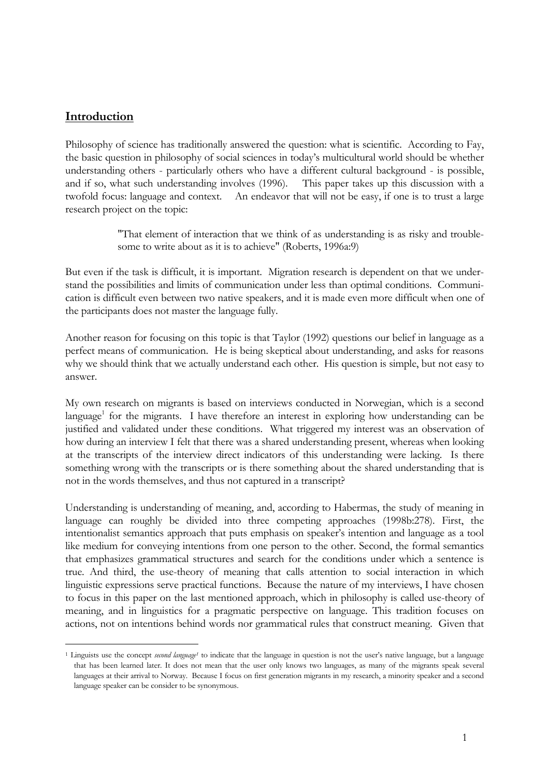## <span id="page-2-0"></span>**Introduction**

 $\overline{a}$ 

Philosophy of science has traditionally answered the question: what is scientific. According to Fay, the basic question in philosophy of social sciences in today's multicultural world should be whether understanding others - particularly others who have a different cultural background - is possible, and if so, what such understanding involves (1996). This paper takes up this discussion with a twofold focus: language and context. An endeavor that will not be easy, if one is to trust a large research project on the topic:

> "That element of interaction that we think of as understanding is as risky and troublesome to write about as it is to achieve" (Roberts, 1996a:9)

But even if the task is difficult, it is important. Migration research is dependent on that we understand the possibilities and limits of communication under less than optimal conditions. Communication is difficult even between two native speakers, and it is made even more difficult when one of the participants does not master the language fully.

Another reason for focusing on this topic is that Taylor (1992) questions our belief in language as a perfect means of communication. He is being skeptical about understanding, and asks for reasons why we should think that we actually understand each other. His question is simple, but not easy to answer.

My own research on migrants is based on interviews conducted in Norwegian, which is a second language<sup>1</sup> for the migrants. I have therefore an interest in exploring how understanding can be justified and validated under these conditions. What triggered my interest was an observation of how during an interview I felt that there was a shared understanding present, whereas when looking at the transcripts of the interview direct indicators of this understanding were lacking. Is there something wrong with the transcripts or is there something about the shared understanding that is not in the words themselves, and thus not captured in a transcript?

Understanding is understanding of meaning, and, according to Habermas, the study of meaning in language can roughly be divided into three competing approaches (1998b:278). First, the intentionalist semantics approach that puts emphasis on speaker's intention and language as a tool like medium for conveying intentions from one person to the other. Second, the formal semantics that emphasizes grammatical structures and search for the conditions under which a sentence is true. And third, the use-theory of meaning that calls attention to social interaction in which linguistic expressions serve practical functions. Because the nature of my interviews, I have chosen to focus in this paper on the last mentioned approach, which in philosophy is called use-theory of meaning, and in linguistics for a pragmatic perspective on language. This tradition focuses on actions, not on intentions behind words nor grammatical rules that construct meaning. Given that

<span id="page-2-1"></span><sup>&</sup>lt;sup>1</sup> Linguists use the concept *second language*<sup>1</sup> to indicate that the language in question is not the user's native language, but a language that has been learned later. It does not mean that the user only knows two languages, as many of the migrants speak several languages at their arrival to Norway. Because I focus on first generation migrants in my research, a minority speaker and a second language speaker can be consider to be synonymous.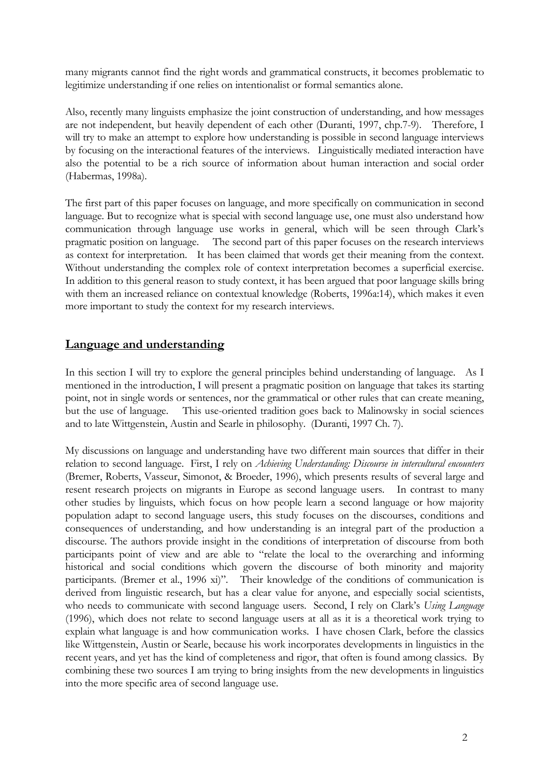<span id="page-3-0"></span>many migrants cannot find the right words and grammatical constructs, it becomes problematic to legitimize understanding if one relies on intentionalist or formal semantics alone.

Also, recently many linguists emphasize the joint construction of understanding, and how messages are not independent, but heavily dependent of each other (Duranti, 1997, chp.7-9). Therefore, I will try to make an attempt to explore how understanding is possible in second language interviews by focusing on the interactional features of the interviews. Linguistically mediated interaction have also the potential to be a rich source of information about human interaction and social order (Habermas, 1998a).

The first part of this paper focuses on language, and more specifically on communication in second language. But to recognize what is special with second language use, one must also understand how communication through language use works in general, which will be seen through Clark's pragmatic position on language. The second part of this paper focuses on the research interviews as context for interpretation. It has been claimed that words get their meaning from the context. Without understanding the complex role of context interpretation becomes a superficial exercise. In addition to this general reason to study context, it has been argued that poor language skills bring with them an increased reliance on contextual knowledge (Roberts, 1996a:14), which makes it even more important to study the context for my research interviews.

## **Language and understanding**

In this section I will try to explore the general principles behind understanding of language. As I mentioned in the introduction, I will present a pragmatic position on language that takes its starting point, not in single words or sentences, nor the grammatical or other rules that can create meaning, but the use of language. This use-oriented tradition goes back to Malinowsky in social sciences and to late Wittgenstein, Austin and Searle in philosophy. (Duranti, 1997 Ch. 7).

My discussions on language and understanding have two different main sources that differ in their relation to second language. First, I rely on *Achieving Understanding: Discourse in intercultural encounters* (Bremer, Roberts, Vasseur, Simonot, & Broeder, 1996), which presents results of several large and resent research projects on migrants in Europe as second language users. In contrast to many other studies by linguists, which focus on how people learn a second language or how majority population adapt to second language users, this study focuses on the discourses, conditions and consequences of understanding, and how understanding is an integral part of the production a discourse. The authors provide insight in the conditions of interpretation of discourse from both participants point of view and are able to "relate the local to the overarching and informing historical and social conditions which govern the discourse of both minority and majority participants. (Bremer et al., 1996 xi)". Their knowledge of the conditions of communication is derived from linguistic research, but has a clear value for anyone, and especially social scientists, who needs to communicate with second language users. Second, I rely on Clark's *Using Language* (1996), which does not relate to second language users at all as it is a theoretical work trying to explain what language is and how communication works. I have chosen Clark, before the classics like Wittgenstein, Austin or Searle, because his work incorporates developments in linguistics in the recent years, and yet has the kind of completeness and rigor, that often is found among classics. By combining these two sources I am trying to bring insights from the new developments in linguistics into the more specific area of second language use.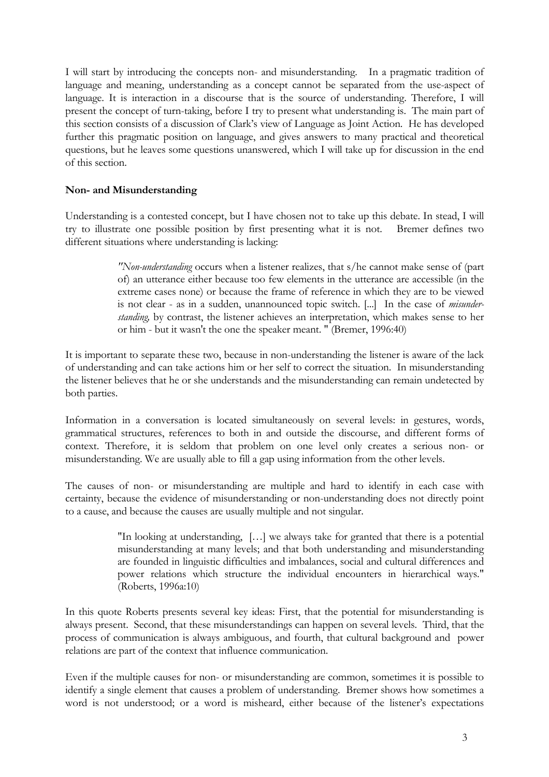<span id="page-4-0"></span>I will start by introducing the concepts non- and misunderstanding. In a pragmatic tradition of language and meaning, understanding as a concept cannot be separated from the use-aspect of language. It is interaction in a discourse that is the source of understanding. Therefore, I will present the concept of turn-taking, before I try to present what understanding is. The main part of this section consists of a discussion of Clark's view of Language as Joint Action. He has developed further this pragmatic position on language, and gives answers to many practical and theoretical questions, but he leaves some questions unanswered, which I will take up for discussion in the end of this section.

### **Non- and Misunderstanding**

Understanding is a contested concept, but I have chosen not to take up this debate. In stead, I will try to illustrate one possible position by first presenting what it is not. Bremer defines two different situations where understanding is lacking:

> *"Non-understanding* occurs when a listener realizes, that s/he cannot make sense of (part of) an utterance either because too few elements in the utterance are accessible (in the extreme cases none) or because the frame of reference in which they are to be viewed is not clear - as in a sudden, unannounced topic switch. [...] In the case of *misunderstanding,* by contrast, the listener achieves an interpretation, which makes sense to her or him - but it wasn't the one the speaker meant. " (Bremer, 1996:40)

It is important to separate these two, because in non-understanding the listener is aware of the lack of understanding and can take actions him or her self to correct the situation. In misunderstanding the listener believes that he or she understands and the misunderstanding can remain undetected by both parties.

Information in a conversation is located simultaneously on several levels: in gestures, words, grammatical structures, references to both in and outside the discourse, and different forms of context. Therefore, it is seldom that problem on one level only creates a serious non- or misunderstanding. We are usually able to fill a gap using information from the other levels.

The causes of non- or misunderstanding are multiple and hard to identify in each case with certainty, because the evidence of misunderstanding or non-understanding does not directly point to a cause, and because the causes are usually multiple and not singular.

> "In looking at understanding, […] we always take for granted that there is a potential misunderstanding at many levels; and that both understanding and misunderstanding are founded in linguistic difficulties and imbalances, social and cultural differences and power relations which structure the individual encounters in hierarchical ways." (Roberts, 1996a:10)

In this quote Roberts presents several key ideas: First, that the potential for misunderstanding is always present. Second, that these misunderstandings can happen on several levels. Third, that the process of communication is always ambiguous, and fourth, that cultural background and power relations are part of the context that influence communication.

Even if the multiple causes for non- or misunderstanding are common, sometimes it is possible to identify a single element that causes a problem of understanding. Bremer shows how sometimes a word is not understood; or a word is misheard, either because of the listener's expectations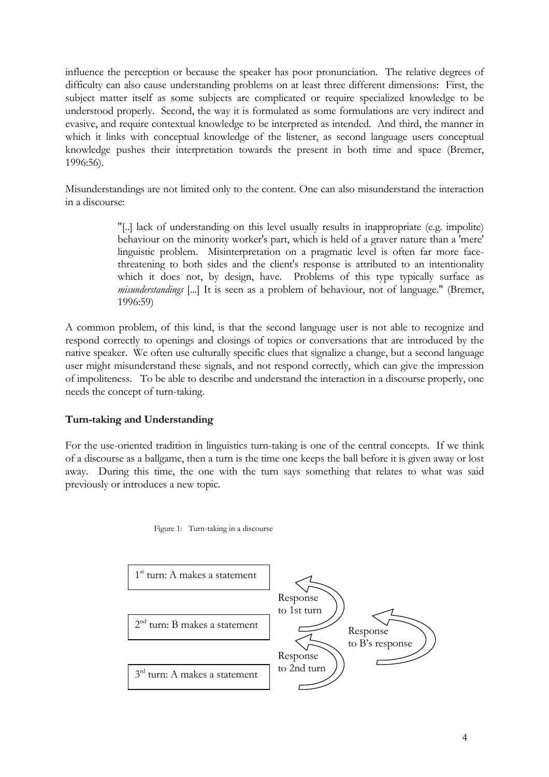<span id="page-5-0"></span>influence the perception or because the speaker has poor pronunciation. The relative degrees of difficulty can also cause understanding problems on at least three different dimensions: First, the subject matter itself as some subjects are complicated or require specialized knowledge to be understood properly. Second, the way it is formulated as some formulations are very indirect and evasive, and require contextual knowledge to be interpreted as intended. And third, the manner in which it links with conceptual knowledge of the listener, as second language users conceptual knowledge pushes their interpretation towards the present in both time and space (Bremer, 1996:56).

Misunderstandings are not limited only to the content. One can also misunderstand the interaction in a discourse:

> "[..] lack of understanding on this level usually results in inappropriate (e.g. impolite) behaviour on the minority worker's part, which is held of a graver nature than a 'mere' linguistic problem. Misinterpretation on a pragmatic level is often far more facethreatening to both sides and the client's response is attributed to an intentionality which it does not, by design, have. Problems of this type typically surface as *misunderstandings* [...] It is seen as a problem of behaviour, not of language." (Bremer, 1996:59)

A common problem, of this kind, is that the second language user is not able to recognize and respond correctly to openings and closings of topics or conversations that are introduced by the native speaker. We often use culturally specific clues that signalize a change, but a second language user might misunderstand these signals, and not respond correctly, which can give the impression of impoliteness. To be able to describe and understand the interaction in a discourse properly, one needs the concept of turn-taking.

### **Turn-taking and Understanding**

For the use-oriented tradition in linguistics turn-taking is one of the central concepts. If we think of a discourse as a ballgame, then a turn is the time one keeps the ball before it is given away or lost away. During this time, the one with the turn says something that relates to what was said previously or introduces a new topic.



Figure 1: Turn-taking in a discourse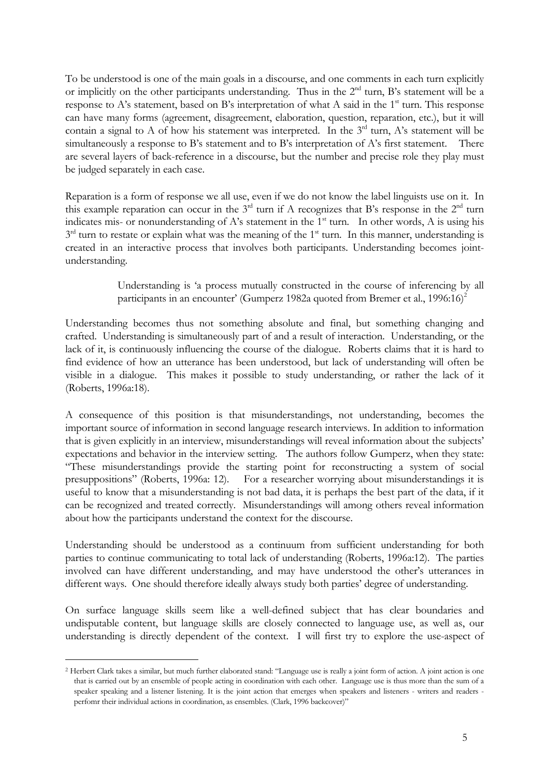To be understood is one of the main goals in a discourse, and one comments in each turn explicitly or implicitly on the other participants understanding. Thus in the  $2<sup>nd</sup>$  turn, B's statement will be a response to A's statement, based on B's interpretation of what A said in the  $1<sup>st</sup>$  turn. This response can have many forms (agreement, disagreement, elaboration, question, reparation, etc.), but it will contain a signal to A of how his statement was interpreted. In the  $3<sup>rd</sup>$  turn, A's statement will be simultaneously a response to B's statement and to B's interpretation of A's first statement. There are several layers of back-reference in a discourse, but the number and precise role they play must be judged separately in each case.

Reparation is a form of response we all use, even if we do not know the label linguists use on it. In this example reparation can occur in the  $3<sup>rd</sup>$  turn if A recognizes that B's response in the  $2<sup>nd</sup>$  turn indicates mis- or nonunderstanding of A's statement in the  $1<sup>st</sup>$  turn. In other words, A is using his  $3<sup>rd</sup>$  turn to restate or explain what was the meaning of the 1<sup>st</sup> turn. In this manner, understanding is created in an interactive process that involves both participants. Understanding becomes jointunderstanding.

> Understanding is 'a process mutually constructed in the course of inferencing by all participants in an encounter' (Gumperz 198[2](#page-6-0)a quoted from Bremer et al., 1996:16)<sup>2</sup>

Understanding becomes thus not something absolute and final, but something changing and crafted. Understanding is simultaneously part of and a result of interaction. Understanding, or the lack of it, is continuously influencing the course of the dialogue. Roberts claims that it is hard to find evidence of how an utterance has been understood, but lack of understanding will often be visible in a dialogue. This makes it possible to study understanding, or rather the lack of it (Roberts, 1996a:18).

A consequence of this position is that misunderstandings, not understanding, becomes the important source of information in second language research interviews. In addition to information that is given explicitly in an interview, misunderstandings will reveal information about the subjects' expectations and behavior in the interview setting. The authors follow Gumperz, when they state: "These misunderstandings provide the starting point for reconstructing a system of social presuppositions" (Roberts, 1996a: 12). For a researcher worrying about misunderstandings it is useful to know that a misunderstanding is not bad data, it is perhaps the best part of the data, if it can be recognized and treated correctly. Misunderstandings will among others reveal information about how the participants understand the context for the discourse.

<span id="page-6-1"></span>Understanding should be understood as a continuum from sufficient understanding for both parties to continue communicating to total lack of understanding (Roberts, 1996a:12). The parties involved can have different understanding, and may have understood the other's utterances in different ways. One should therefore ideally always study both parties' degree of understanding.

On surface language skills seem like a well-defined subject that has clear boundaries and undisputable content, but language skills are closely connected to language use, as well as, our understanding is directly dependent of the context. I will first try to explore the use-aspect of

-

<span id="page-6-0"></span><sup>2</sup> Herbert Clark takes a similar, but much further elaborated stand: "Language use is really a joint form of action. A joint action is one that is carried out by an ensemble of people acting in coordination with each other. Language use is thus more than the sum of a speaker speaking and a listener listening. It is the joint action that emerges when speakers and listeners - writers and readers perfomr their individual actions in coordination, as ensembles. (Clark, 1996 backcover)"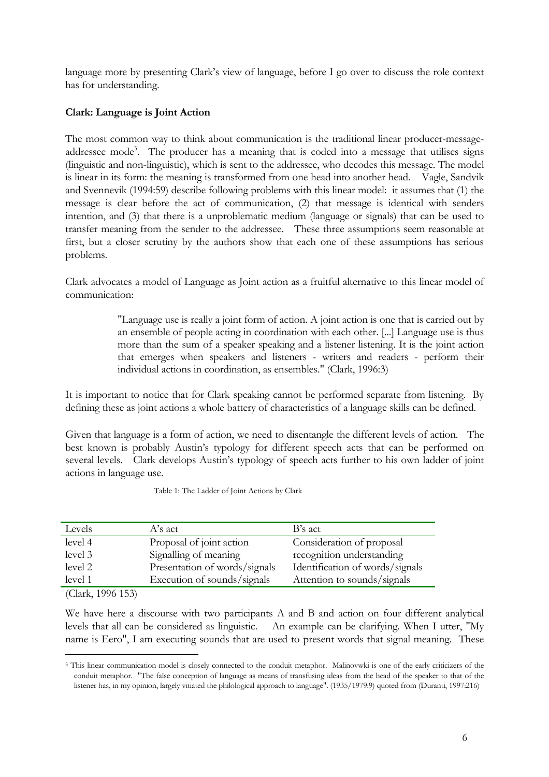<span id="page-7-0"></span>language more by presenting Clark's view of language, before I go over to discuss the role context has for understanding.

## **Clark: Language is Joint Action**

The most common way to think about communication is the traditional linear producer-messageaddressee mode<sup>3</sup>. The producer has a meaning that is coded into a message that utilises signs (linguistic and non-linguistic), which is sent to the addressee, who decodes this message. The model is linear in its form: the meaning is transformed from one head into another head. Vagle, Sandvik and Svennevik (1994:59) describe following problems with this linear model: it assumes that (1) the message is clear before the act of communication, (2) that message is identical with senders intention, and (3) that there is a unproblematic medium (language or signals) that can be used to transfer meaning from the sender to the addressee. These three assumptions seem reasonable at first, but a closer scrutiny by the authors show that each one of these assumptions has serious problems.

Clark advocates a model of Language as Joint action as a fruitful alternative to this linear model of communication:

> "Language use is really a joint form of action. A joint action is one that is carried out by an ensemble of people acting in coordination with each other. [...] Language use is thus more than the sum of a speaker speaking and a listener listening. It is the joint action that emerges when speakers and listeners - writers and readers - perform their individual actions in coordination, as ensembles." (Clark, 1996:3)

It is important to notice that for Clark speaking cannot be performed separate from listening. By defining these as joint actions a whole battery of characteristics of a language skills can be defined.

Given that language is a form of action, we need to disentangle the different levels of action. The best known is probably Austin's typology for different speech acts that can be performed on several levels. Clark develops Austin's typology of speech acts further to his own ladder of joint actions in language use.

| Levels  | A's act                       | B's act                         |
|---------|-------------------------------|---------------------------------|
| level 4 | Proposal of joint action      | Consideration of proposal       |
| level 3 | Signalling of meaning         | recognition understanding       |
| level 2 | Presentation of words/signals | Identification of words/signals |
| level 1 | Execution of sounds/signals   | Attention to sounds/signals     |
|         |                               |                                 |

Table 1: The Ladder of Joint Actions by Clark

(Clark, 1996 153)

-

We have here a discourse with two participants A and B and action on four different analytical levels that all can be considered as linguistic. An example can be clarifying. When I utter, "My name is Eero", I am executing sounds that are used to present words that signal meaning. These

<span id="page-7-1"></span><sup>3</sup> This linear communication model is closely connected to the conduit metaphor. Malinovwki is one of the early criticizers of the conduit metaphor. "The false conception of language as means of transfusing ideas from the head of the speaker to that of the listener has, in my opinion, largely vitiated the philological approach to language". (1935/1979:9) quoted from (Duranti, 1997:216)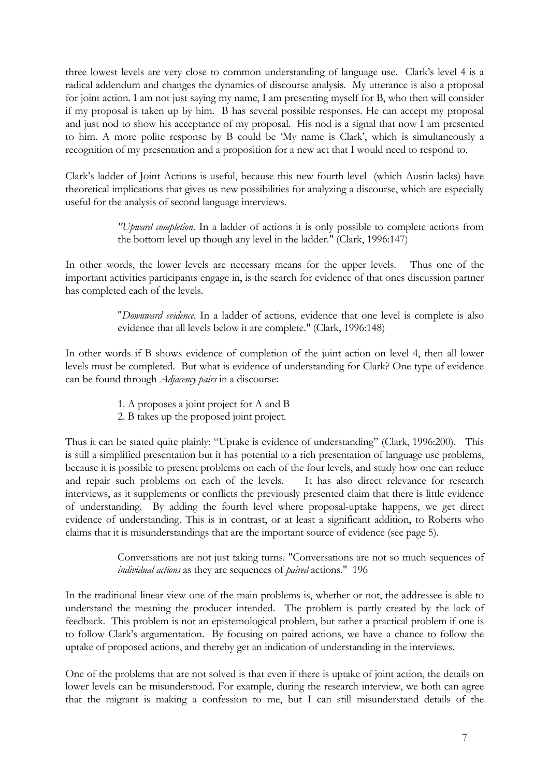three lowest levels are very close to common understanding of language use. Clark's level 4 is a radical addendum and changes the dynamics of discourse analysis. My utterance is also a proposal for joint action. I am not just saying my name, I am presenting myself for B, who then will consider if my proposal is taken up by him. B has several possible responses. He can accept my proposal and just nod to show his acceptance of my proposal. His nod is a signal that now I am presented to him. A more polite response by B could be 'My name is Clark', which is simultaneously a recognition of my presentation and a proposition for a new act that I would need to respond to.

Clark's ladder of Joint Actions is useful, because this new fourth level (which Austin lacks) have theoretical implications that gives us new possibilities for analyzing a discourse, which are especially useful for the analysis of second language interviews.

> *"Upward completion*. In a ladder of actions it is only possible to complete actions from the bottom level up though any level in the ladder." (Clark, 1996:147)

In other words, the lower levels are necessary means for the upper levels. Thus one of the important activities participants engage in, is the search for evidence of that ones discussion partner has completed each of the levels.

> "*Downward evidence*. In a ladder of actions, evidence that one level is complete is also evidence that all levels below it are complete." (Clark, 1996:148)

In other words if B shows evidence of completion of the joint action on level 4, then all lower levels must be completed. But what is evidence of understanding for Clark? One type of evidence can be found through *Adjacency pairs* in a discourse:

- 1. A proposes a joint project for A and B
- 2. B takes up the proposed joint project.

Thus it can be stated quite plainly: "Uptake is evidence of understanding" (Clark, 1996:200). This is still a simplified presentation but it has potential to a rich presentation of language use problems, because it is possible to present problems on each of the four levels, and study how one can reduce and repair such problems on each of the levels. It has also direct relevance for research interviews, as it supplements or conflicts the previously presented claim that there is little evidence of understanding. By adding the fourth level where proposal-uptake happens, we get direct evidence of understanding. This is in contrast, or at least a significant addition, to Roberts who claims that it is misunderstandings that are the important source of evidence (see page [5\)](#page-6-1).

> Conversations are not just taking turns. "Conversations are not so much sequences of *individual actions* as they are sequences of *paired* actions." 196

In the traditional linear view one of the main problems is, whether or not, the addressee is able to understand the meaning the producer intended. The problem is partly created by the lack of feedback. This problem is not an epistemological problem, but rather a practical problem if one is to follow Clark's argumentation. By focusing on paired actions, we have a chance to follow the uptake of proposed actions, and thereby get an indication of understanding in the interviews.

One of the problems that are not solved is that even if there is uptake of joint action, the details on lower levels can be misunderstood. For example, during the research interview, we both can agree that the migrant is making a confession to me, but I can still misunderstand details of the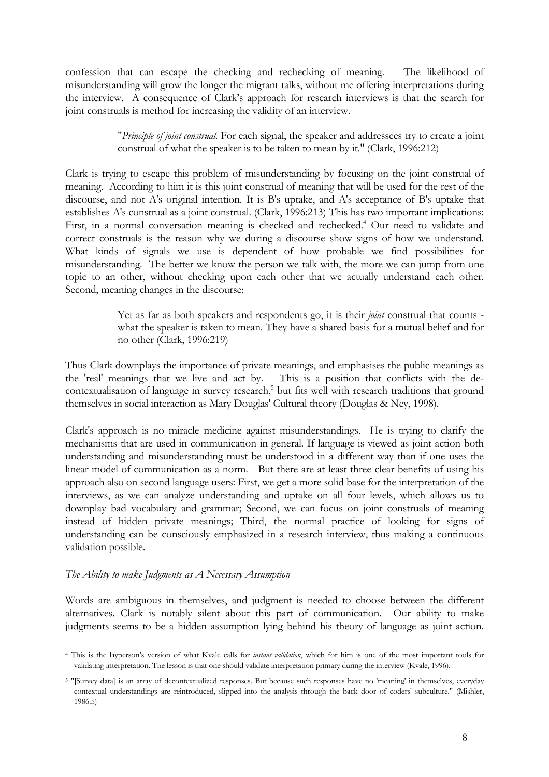<span id="page-9-0"></span>confession that can escape the checking and rechecking of meaning. The likelihood of misunderstanding will grow the longer the migrant talks, without me offering interpretations during the interview. A consequence of Clark's approach for research interviews is that the search for joint construals is method for increasing the validity of an interview.

> "*Principle of joint construal.* For each signal, the speaker and addressees try to create a joint construal of what the speaker is to be taken to mean by it." (Clark, 1996:212)

Clark is trying to escape this problem of misunderstanding by focusing on the joint construal of meaning. According to him it is this joint construal of meaning that will be used for the rest of the discourse, and not A's original intention. It is B's uptake, and A's acceptance of B's uptake that establishes A's construal as a joint construal. (Clark, 1996:213) This has two important implications: First, in a normal conversation meaning is checked and rechecked.<sup>[4](#page-9-1)</sup> Our need to validate and correct construals is the reason why we during a discourse show signs of how we understand. What kinds of signals we use is dependent of how probable we find possibilities for misunderstanding. The better we know the person we talk with, the more we can jump from one topic to an other, without checking upon each other that we actually understand each other. Second, meaning changes in the discourse:

> Yet as far as both speakers and respondents go, it is their *joint* construal that counts what the speaker is taken to mean. They have a shared basis for a mutual belief and for no other (Clark, 1996:219)

Thus Clark downplays the importance of private meanings, and emphasises the public meanings as the 'real' meanings that we live and act by. This is a position that conflicts with the decontextualisation of language in survey research,<sup>5</sup> but fits well with research traditions that ground themselves in social interaction as Mary Douglas' Cultural theory (Douglas & Ney, 1998).

Clark's approach is no miracle medicine against misunderstandings. He is trying to clarify the mechanisms that are used in communication in general. If language is viewed as joint action both understanding and misunderstanding must be understood in a different way than if one uses the linear model of communication as a norm. But there are at least three clear benefits of using his approach also on second language users: First, we get a more solid base for the interpretation of the interviews, as we can analyze understanding and uptake on all four levels, which allows us to downplay bad vocabulary and grammar; Second, we can focus on joint construals of meaning instead of hidden private meanings; Third, the normal practice of looking for signs of understanding can be consciously emphasized in a research interview, thus making a continuous validation possible.

### *The Ability to make Judgments as A Necessary Assumption*

 $\overline{a}$ 

Words are ambiguous in themselves, and judgment is needed to choose between the different alternatives. Clark is notably silent about this part of communication. Our ability to make judgments seems to be a hidden assumption lying behind his theory of language as joint action.

<span id="page-9-1"></span><sup>4</sup> This is the layperson's version of what Kvale calls for *instant validation*, which for him is one of the most important tools for validating interpretation. The lesson is that one should validate interpretation primary during the interview (Kvale, 1996).

<span id="page-9-2"></span><sup>5 &</sup>quot;[Survey data] is an array of decontextualized responses. But because such responses have no 'meaning' in themselves, everyday contextual understandings are reintroduced, slipped into the analysis through the back door of coders' subculture." (Mishler, 1986:5)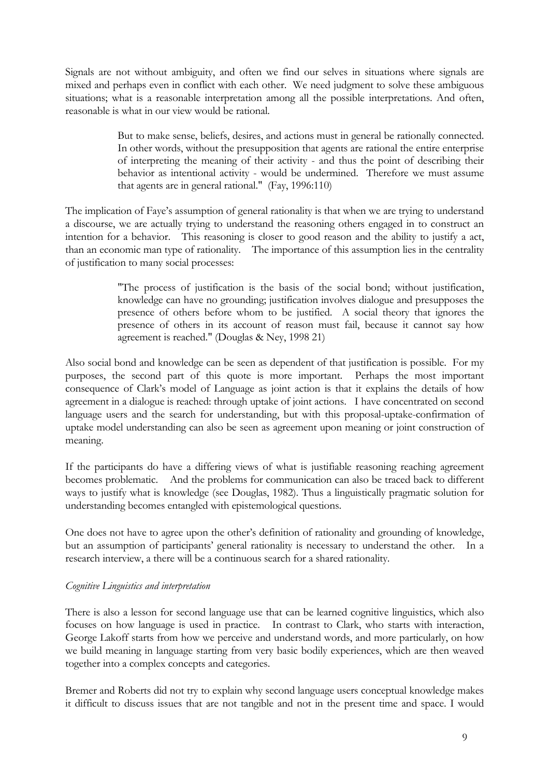<span id="page-10-0"></span>Signals are not without ambiguity, and often we find our selves in situations where signals are mixed and perhaps even in conflict with each other. We need judgment to solve these ambiguous situations; what is a reasonable interpretation among all the possible interpretations. And often, reasonable is what in our view would be rational.

> But to make sense, beliefs, desires, and actions must in general be rationally connected. In other words, without the presupposition that agents are rational the entire enterprise of interpreting the meaning of their activity - and thus the point of describing their behavior as intentional activity - would be undermined. Therefore we must assume that agents are in general rational." (Fay, 1996:110)

The implication of Faye's assumption of general rationality is that when we are trying to understand a discourse, we are actually trying to understand the reasoning others engaged in to construct an intention for a behavior. This reasoning is closer to good reason and the ability to justify a act, than an economic man type of rationality. The importance of this assumption lies in the centrality of justification to many social processes:

> "The process of justification is the basis of the social bond; without justification, knowledge can have no grounding; justification involves dialogue and presupposes the presence of others before whom to be justified. A social theory that ignores the presence of others in its account of reason must fail, because it cannot say how agreement is reached." (Douglas & Ney, 1998 21)

Also social bond and knowledge can be seen as dependent of that justification is possible. For my purposes, the second part of this quote is more important. Perhaps the most important consequence of Clark's model of Language as joint action is that it explains the details of how agreement in a dialogue is reached: through uptake of joint actions. I have concentrated on second language users and the search for understanding, but with this proposal-uptake-confirmation of uptake model understanding can also be seen as agreement upon meaning or joint construction of meaning.

If the participants do have a differing views of what is justifiable reasoning reaching agreement becomes problematic. And the problems for communication can also be traced back to different ways to justify what is knowledge (see Douglas, 1982). Thus a linguistically pragmatic solution for understanding becomes entangled with epistemological questions.

One does not have to agree upon the other's definition of rationality and grounding of knowledge, but an assumption of participants' general rationality is necessary to understand the other. In a research interview, a there will be a continuous search for a shared rationality.

### *Cognitive Linguistics and interpretation*

There is also a lesson for second language use that can be learned cognitive linguistics, which also focuses on how language is used in practice. In contrast to Clark, who starts with interaction, George Lakoff starts from how we perceive and understand words, and more particularly, on how we build meaning in language starting from very basic bodily experiences, which are then weaved together into a complex concepts and categories.

Bremer and Roberts did not try to explain why second language users conceptual knowledge makes it difficult to discuss issues that are not tangible and not in the present time and space. I would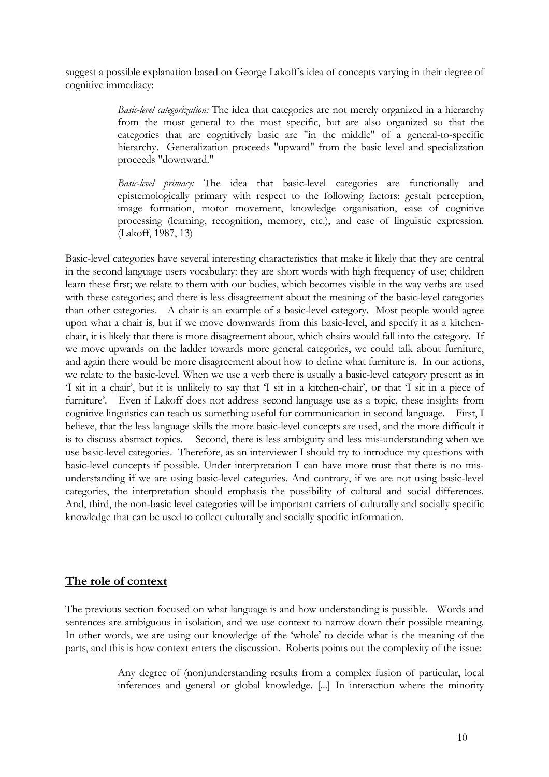<span id="page-11-0"></span>suggest a possible explanation based on George Lakoff's idea of concepts varying in their degree of cognitive immediacy:

> <span id="page-11-1"></span>*Basic-level categorization:* The idea that categories are not merely organized in a hierarchy from the most general to the most specific, but are also organized so that the categories that are cognitively basic are "in the middle" of a general-to-specific hierarchy. Generalization proceeds "upward" from the basic level and specialization proceeds "downward."

> *Basic-level primacy:* The idea that basic-level categories are functionally and epistemologically primary with respect to the following factors: gestalt perception, image formation, motor movement, knowledge organisation, ease of cognitive processing (learning, recognition, memory, etc.), and ease of linguistic expression. (Lakoff, 1987, 13)

Basic-level categories have several interesting characteristics that make it likely that they are central in the second language users vocabulary: they are short words with high frequency of use; children learn these first; we relate to them with our bodies, which becomes visible in the way verbs are used with these categories; and there is less disagreement about the meaning of the basic-level categories than other categories. A chair is an example of a basic-level category. Most people would agree upon what a chair is, but if we move downwards from this basic-level, and specify it as a kitchenchair, it is likely that there is more disagreement about, which chairs would fall into the category. If we move upwards on the ladder towards more general categories, we could talk about furniture, and again there would be more disagreement about how to define what furniture is. In our actions, we relate to the basic-level. When we use a verb there is usually a basic-level category present as in 'I sit in a chair', but it is unlikely to say that 'I sit in a kitchen-chair', or that 'I sit in a piece of furniture'. Even if Lakoff does not address second language use as a topic, these insights from cognitive linguistics can teach us something useful for communication in second language. First, I believe, that the less language skills the more basic-level concepts are used, and the more difficult it is to discuss abstract topics. Second, there is less ambiguity and less mis-understanding when we use basic-level categories. Therefore, as an interviewer I should try to introduce my questions with basic-level concepts if possible. Under interpretation I can have more trust that there is no misunderstanding if we are using basic-level categories. And contrary, if we are not using basic-level categories, the interpretation should emphasis the possibility of cultural and social differences. And, third, the non-basic level categories will be important carriers of culturally and socially specific knowledge that can be used to collect culturally and socially specific information.

### **The role of context**

The previous section focused on what language is and how understanding is possible. Words and sentences are ambiguous in isolation, and we use context to narrow down their possible meaning. In other words, we are using our knowledge of the 'whole' to decide what is the meaning of the parts, and this is how context enters the discussion. Roberts points out the complexity of the issue:

> Any degree of (non)understanding results from a complex fusion of particular, local inferences and general or global knowledge. [...] In interaction where the minority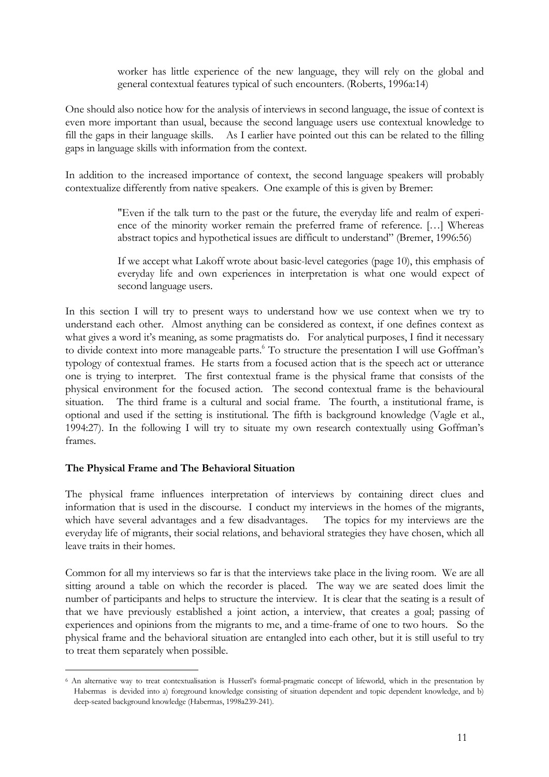worker has little experience of the new language, they will rely on the global and general contextual features typical of such encounters. (Roberts, 1996a:14)

<span id="page-12-0"></span>One should also notice how for the analysis of interviews in second language, the issue of context is even more important than usual, because the second language users use contextual knowledge to fill the gaps in their language skills. As I earlier have pointed out this can be related to the filling gaps in language skills with information from the context.

In addition to the increased importance of context, the second language speakers will probably contextualize differently from native speakers. One example of this is given by Bremer:

> "Even if the talk turn to the past or the future, the everyday life and realm of experience of the minority worker remain the preferred frame of reference. […] Whereas abstract topics and hypothetical issues are difficult to understand" (Bremer, 1996:56)

> If we accept what Lakoff wrote about basic-level categories (page [10\)](#page-11-1), this emphasis of everyday life and own experiences in interpretation is what one would expect of second language users.

In this section I will try to present ways to understand how we use context when we try to understand each other. Almost anything can be considered as context, if one defines context as what gives a word it's meaning, as some pragmatists do. For analytical purposes, I find it necessary to divide context into more manageable parts.<sup>[6](#page-12-1)</sup> To structure the presentation I will use Goffman's typology of contextual frames. He starts from a focused action that is the speech act or utterance one is trying to interpret. The first contextual frame is the physical frame that consists of the physical environment for the focused action. The second contextual frame is the behavioural situation. The third frame is a cultural and social frame. The fourth, a institutional frame, is optional and used if the setting is institutional. The fifth is background knowledge (Vagle et al., 1994:27). In the following I will try to situate my own research contextually using Goffman's frames.

### **The Physical Frame and The Behavioral Situation**

 $\overline{a}$ 

The physical frame influences interpretation of interviews by containing direct clues and information that is used in the discourse. I conduct my interviews in the homes of the migrants, which have several advantages and a few disadvantages. The topics for my interviews are the everyday life of migrants, their social relations, and behavioral strategies they have chosen, which all leave traits in their homes.

Common for all my interviews so far is that the interviews take place in the living room. We are all sitting around a table on which the recorder is placed. The way we are seated does limit the number of participants and helps to structure the interview. It is clear that the seating is a result of that we have previously established a joint action, a interview, that creates a goal; passing of experiences and opinions from the migrants to me, and a time-frame of one to two hours. So the physical frame and the behavioral situation are entangled into each other, but it is still useful to try to treat them separately when possible.

<span id="page-12-1"></span><sup>6</sup> An alternative way to treat contextualisation is Husserl's formal-pragmatic concept of lifeworld, which in the presentation by Habermas is devided into a) foreground knowledge consisting of situation dependent and topic dependent knowledge, and b) deep-seated background knowledge (Habermas, 1998a239-241).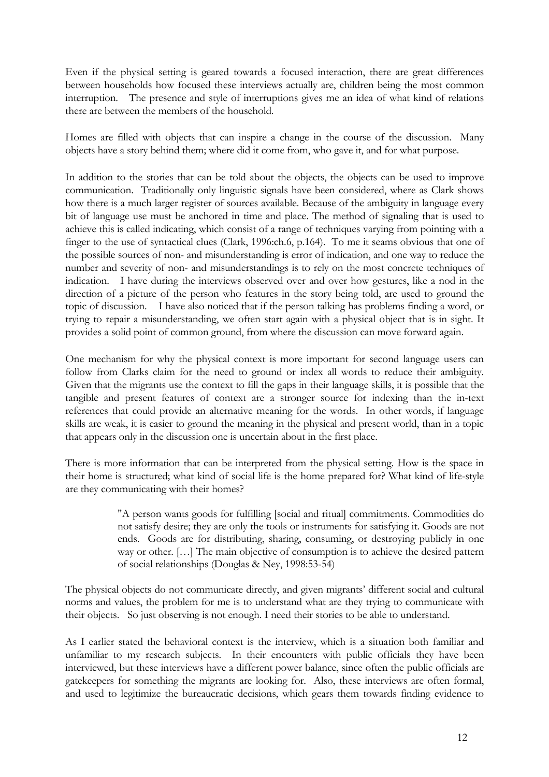Even if the physical setting is geared towards a focused interaction, there are great differences between households how focused these interviews actually are, children being the most common interruption. The presence and style of interruptions gives me an idea of what kind of relations there are between the members of the household.

Homes are filled with objects that can inspire a change in the course of the discussion. Many objects have a story behind them; where did it come from, who gave it, and for what purpose.

In addition to the stories that can be told about the objects, the objects can be used to improve communication. Traditionally only linguistic signals have been considered, where as Clark shows how there is a much larger register of sources available. Because of the ambiguity in language every bit of language use must be anchored in time and place. The method of signaling that is used to achieve this is called indicating, which consist of a range of techniques varying from pointing with a finger to the use of syntactical clues (Clark, 1996:ch.6, p.164). To me it seams obvious that one of the possible sources of non- and misunderstanding is error of indication, and one way to reduce the number and severity of non- and misunderstandings is to rely on the most concrete techniques of indication. I have during the interviews observed over and over how gestures, like a nod in the direction of a picture of the person who features in the story being told, are used to ground the topic of discussion. I have also noticed that if the person talking has problems finding a word, or trying to repair a misunderstanding, we often start again with a physical object that is in sight. It provides a solid point of common ground, from where the discussion can move forward again.

One mechanism for why the physical context is more important for second language users can follow from Clarks claim for the need to ground or index all words to reduce their ambiguity. Given that the migrants use the context to fill the gaps in their language skills, it is possible that the tangible and present features of context are a stronger source for indexing than the in-text references that could provide an alternative meaning for the words. In other words, if language skills are weak, it is easier to ground the meaning in the physical and present world, than in a topic that appears only in the discussion one is uncertain about in the first place.

There is more information that can be interpreted from the physical setting. How is the space in their home is structured; what kind of social life is the home prepared for? What kind of life-style are they communicating with their homes?

> "A person wants goods for fulfilling [social and ritual] commitments. Commodities do not satisfy desire; they are only the tools or instruments for satisfying it. Goods are not ends. Goods are for distributing, sharing, consuming, or destroying publicly in one way or other. […] The main objective of consumption is to achieve the desired pattern of social relationships (Douglas & Ney, 1998:53-54)

The physical objects do not communicate directly, and given migrants' different social and cultural norms and values, the problem for me is to understand what are they trying to communicate with their objects. So just observing is not enough. I need their stories to be able to understand.

As I earlier stated the behavioral context is the interview, which is a situation both familiar and unfamiliar to my research subjects. In their encounters with public officials they have been interviewed, but these interviews have a different power balance, since often the public officials are gatekeepers for something the migrants are looking for. Also, these interviews are often formal, and used to legitimize the bureaucratic decisions, which gears them towards finding evidence to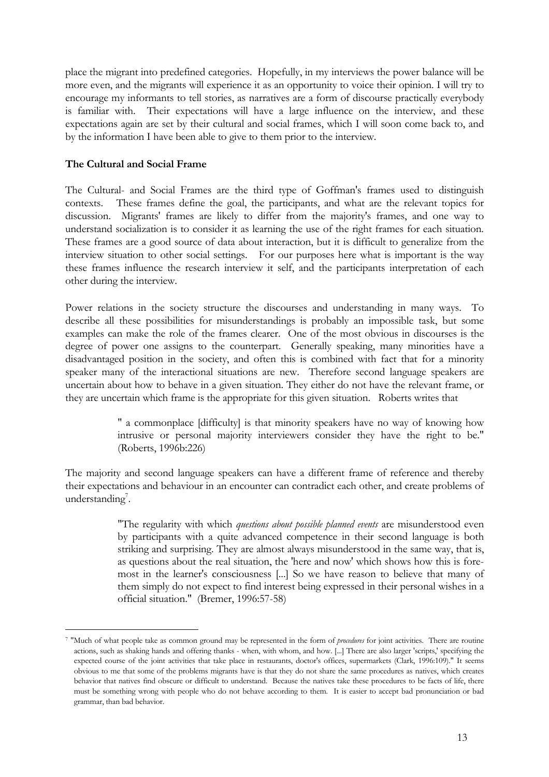<span id="page-14-0"></span>place the migrant into predefined categories. Hopefully, in my interviews the power balance will be more even, and the migrants will experience it as an opportunity to voice their opinion. I will try to encourage my informants to tell stories, as narratives are a form of discourse practically everybody is familiar with. Their expectations will have a large influence on the interview, and these expectations again are set by their cultural and social frames, which I will soon come back to, and by the information I have been able to give to them prior to the interview.

### **The Cultural and Social Frame**

-

The Cultural- and Social Frames are the third type of Goffman's frames used to distinguish contexts. These frames define the goal, the participants, and what are the relevant topics for discussion. Migrants' frames are likely to differ from the majority's frames, and one way to understand socialization is to consider it as learning the use of the right frames for each situation. These frames are a good source of data about interaction, but it is difficult to generalize from the interview situation to other social settings. For our purposes here what is important is the way these frames influence the research interview it self, and the participants interpretation of each other during the interview.

Power relations in the society structure the discourses and understanding in many ways. To describe all these possibilities for misunderstandings is probably an impossible task, but some examples can make the role of the frames clearer. One of the most obvious in discourses is the degree of power one assigns to the counterpart. Generally speaking, many minorities have a disadvantaged position in the society, and often this is combined with fact that for a minority speaker many of the interactional situations are new. Therefore second language speakers are uncertain about how to behave in a given situation. They either do not have the relevant frame, or they are uncertain which frame is the appropriate for this given situation. Roberts writes that

> " a commonplace [difficulty] is that minority speakers have no way of knowing how intrusive or personal majority interviewers consider they have the right to be." (Roberts, 1996b:226)

The majority and second language speakers can have a different frame of reference and thereby their expectations and behaviour in an encounter can contradict each other, and create problems of understanding<sup>7</sup>.

> "The regularity with which *questions about possible planned events* are misunderstood even by participants with a quite advanced competence in their second language is both striking and surprising. They are almost always misunderstood in the same way, that is, as questions about the real situation, the 'here and now' which shows how this is foremost in the learner's consciousness [...] So we have reason to believe that many of them simply do not expect to find interest being expressed in their personal wishes in a official situation." (Bremer, 1996:57-58)

<span id="page-14-1"></span><sup>7 &</sup>quot;Much of what people take as common ground may be represented in the form of *procedures* for joint activities. There are routine actions, such as shaking hands and offering thanks - when, with whom, and how. [...] There are also larger 'scripts,' specifying the expected course of the joint activities that take place in restaurants, doctor's offices, supermarkets (Clark, 1996:109)." It seems obvious to me that some of the problems migrants have is that they do not share the same procedures as natives, which creates behavior that natives find obscure or difficult to understand. Because the natives take these procedures to be facts of life, there must be something wrong with people who do not behave according to them. It is easier to accept bad pronunciation or bad grammar, than bad behavior.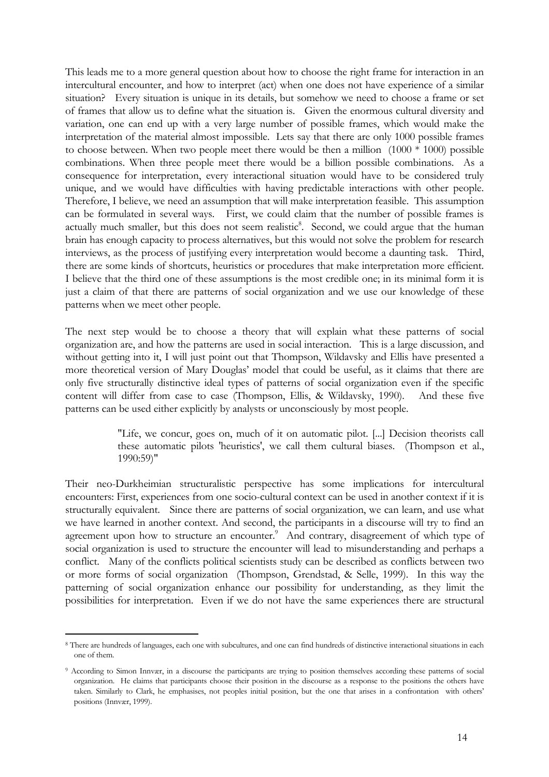This leads me to a more general question about how to choose the right frame for interaction in an intercultural encounter, and how to interpret (act) when one does not have experience of a similar situation? Every situation is unique in its details, but somehow we need to choose a frame or set of frames that allow us to define what the situation is. Given the enormous cultural diversity and variation, one can end up with a very large number of possible frames, which would make the interpretation of the material almost impossible. Lets say that there are only 1000 possible frames to choose between. When two people meet there would be then a million  $(1000 * 1000)$  possible combinations. When three people meet there would be a billion possible combinations. As a consequence for interpretation, every interactional situation would have to be considered truly unique, and we would have difficulties with having predictable interactions with other people. Therefore, I believe, we need an assumption that will make interpretation feasible. This assumption can be formulated in several ways. First, we could claim that the number of possible frames is actually much smaller, but this does not seem realistic<sup>[8](#page-15-0)</sup>. Second, we could argue that the human brain has enough capacity to process alternatives, but this would not solve the problem for research interviews, as the process of justifying every interpretation would become a daunting task. Third, there are some kinds of shortcuts, heuristics or procedures that make interpretation more efficient. I believe that the third one of these assumptions is the most credible one; in its minimal form it is just a claim of that there are patterns of social organization and we use our knowledge of these patterns when we meet other people.

The next step would be to choose a theory that will explain what these patterns of social organization are, and how the patterns are used in social interaction. This is a large discussion, and without getting into it, I will just point out that Thompson, Wildavsky and Ellis have presented a more theoretical version of Mary Douglas' model that could be useful, as it claims that there are only five structurally distinctive ideal types of patterns of social organization even if the specific content will differ from case to case (Thompson, Ellis, & Wildavsky, 1990). And these five patterns can be used either explicitly by analysts or unconsciously by most people.

> "Life, we concur, goes on, much of it on automatic pilot. [...] Decision theorists call these automatic pilots 'heuristics', we call them cultural biases. (Thompson et al., 1990:59)"

Their neo-Durkheimian structuralistic perspective has some implications for intercultural encounters: First, experiences from one socio-cultural context can be used in another context if it is structurally equivalent. Since there are patterns of social organization, we can learn, and use what we have learned in another context. And second, the participants in a discourse will try to find an agreement upon how to structure an encounter.<sup>9</sup> And contrary, disagreement of which type of social organization is used to structure the encounter will lead to misunderstanding and perhaps a conflict. Many of the conflicts political scientists study can be described as conflicts between two or more forms of social organization (Thompson, Grendstad, & Selle, 1999). In this way the patterning of social organization enhance our possibility for understanding, as they limit the possibilities for interpretation. Even if we do not have the same experiences there are structural

<u>.</u>

<span id="page-15-0"></span><sup>8</sup> There are hundreds of languages, each one with subcultures, and one can find hundreds of distinctive interactional situations in each one of them.

<span id="page-15-1"></span><sup>9</sup> According to Simon Innvær, in a discourse the participants are trying to position themselves according these patterns of social organization. He claims that participants choose their position in the discourse as a response to the positions the others have taken. Similarly to Clark, he emphasises, not peoples initial position, but the one that arises in a confrontation with others' positions (Innvær, 1999).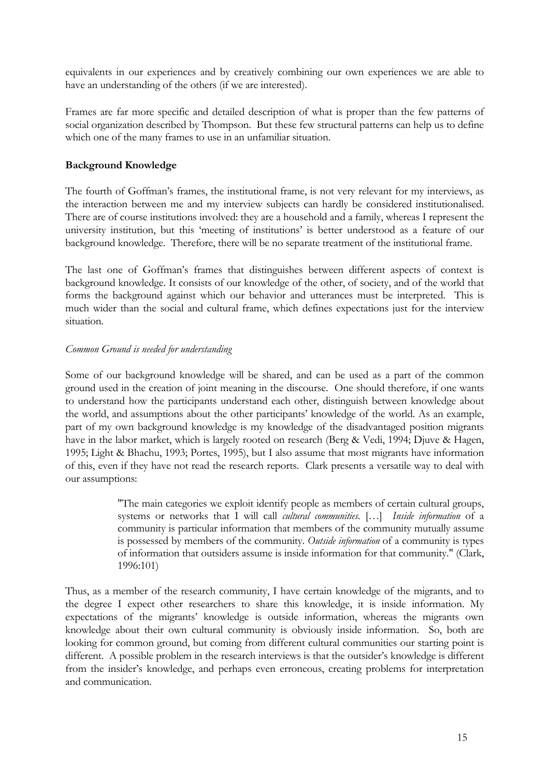<span id="page-16-0"></span>equivalents in our experiences and by creatively combining our own experiences we are able to have an understanding of the others (if we are interested).

Frames are far more specific and detailed description of what is proper than the few patterns of social organization described by Thompson. But these few structural patterns can help us to define which one of the many frames to use in an unfamiliar situation.

### **Background Knowledge**

The fourth of Goffman's frames, the institutional frame, is not very relevant for my interviews, as the interaction between me and my interview subjects can hardly be considered institutionalised. There are of course institutions involved: they are a household and a family, whereas I represent the university institution, but this 'meeting of institutions' is better understood as a feature of our background knowledge. Therefore, there will be no separate treatment of the institutional frame.

The last one of Goffman's frames that distinguishes between different aspects of context is background knowledge. It consists of our knowledge of the other, of society, and of the world that forms the background against which our behavior and utterances must be interpreted. This is much wider than the social and cultural frame, which defines expectations just for the interview situation.

### *Common Ground is needed for understanding*

Some of our background knowledge will be shared, and can be used as a part of the common ground used in the creation of joint meaning in the discourse. One should therefore, if one wants to understand how the participants understand each other, distinguish between knowledge about the world, and assumptions about the other participants' knowledge of the world. As an example, part of my own background knowledge is my knowledge of the disadvantaged position migrants have in the labor market, which is largely rooted on research (Berg & Vedi, 1994; Djuve & Hagen, 1995; Light & Bhachu, 1993; Portes, 1995), but I also assume that most migrants have information of this, even if they have not read the research reports. Clark presents a versatile way to deal with our assumptions:

> "The main categories we exploit identify people as members of certain cultural groups, systems or networks that I will call *cultural communities*. […] *Inside information* of a community is particular information that members of the community mutually assume is possessed by members of the community. *Outside information* of a community is types of information that outsiders assume is inside information for that community." (Clark, 1996:101)

Thus, as a member of the research community, I have certain knowledge of the migrants, and to the degree I expect other researchers to share this knowledge, it is inside information. My expectations of the migrants' knowledge is outside information, whereas the migrants own knowledge about their own cultural community is obviously inside information. So, both are looking for common ground, but coming from different cultural communities our starting point is different. A possible problem in the research interviews is that the outsider's knowledge is different from the insider's knowledge, and perhaps even erroneous, creating problems for interpretation and communication.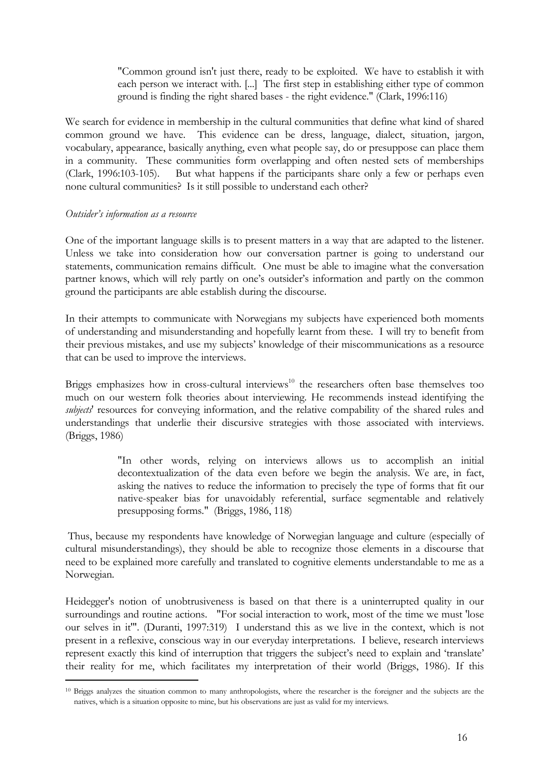"Common ground isn't just there, ready to be exploited. We have to establish it with each person we interact with. [...] The first step in establishing either type of common ground is finding the right shared bases - the right evidence." (Clark, 1996:116)

<span id="page-17-0"></span>We search for evidence in membership in the cultural communities that define what kind of shared common ground we have. This evidence can be dress, language, dialect, situation, jargon, vocabulary, appearance, basically anything, even what people say, do or presuppose can place them in a community. These communities form overlapping and often nested sets of memberships (Clark, 1996:103-105). But what happens if the participants share only a few or perhaps even none cultural communities? Is it still possible to understand each other?

### *Outsider's information as a resource*

 $\overline{a}$ 

One of the important language skills is to present matters in a way that are adapted to the listener. Unless we take into consideration how our conversation partner is going to understand our statements, communication remains difficult. One must be able to imagine what the conversation partner knows, which will rely partly on one's outsider's information and partly on the common ground the participants are able establish during the discourse.

In their attempts to communicate with Norwegians my subjects have experienced both moments of understanding and misunderstanding and hopefully learnt from these. I will try to benefit from their previous mistakes, and use my subjects' knowledge of their miscommunications as a resource that can be used to improve the interviews.

Briggs emphasizes how in cross-cultural interviews<sup>10</sup> the researchers often base themselves too much on our western folk theories about interviewing. He recommends instead identifying the *subjects*' resources for conveying information, and the relative compability of the shared rules and understandings that underlie their discursive strategies with those associated with interviews. (Briggs, 1986)

> "In other words, relying on interviews allows us to accomplish an initial decontextualization of the data even before we begin the analysis. We are, in fact, asking the natives to reduce the information to precisely the type of forms that fit our native-speaker bias for unavoidably referential, surface segmentable and relatively presupposing forms." (Briggs, 1986, 118)

Thus, because my respondents have knowledge of Norwegian language and culture (especially of cultural misunderstandings), they should be able to recognize those elements in a discourse that need to be explained more carefully and translated to cognitive elements understandable to me as a Norwegian.

Heidegger's notion of unobtrusiveness is based on that there is a uninterrupted quality in our surroundings and routine actions. "For social interaction to work, most of the time we must 'lose our selves in it'". (Duranti, 1997:319) I understand this as we live in the context, which is not present in a reflexive, conscious way in our everyday interpretations. I believe, research interviews represent exactly this kind of interruption that triggers the subject's need to explain and 'translate' their reality for me, which facilitates my interpretation of their world (Briggs, 1986). If this

<span id="page-17-1"></span><sup>10</sup> Briggs analyzes the situation common to many anthropologists, where the researcher is the foreigner and the subjects are the natives, which is a situation opposite to mine, but his observations are just as valid for my interviews.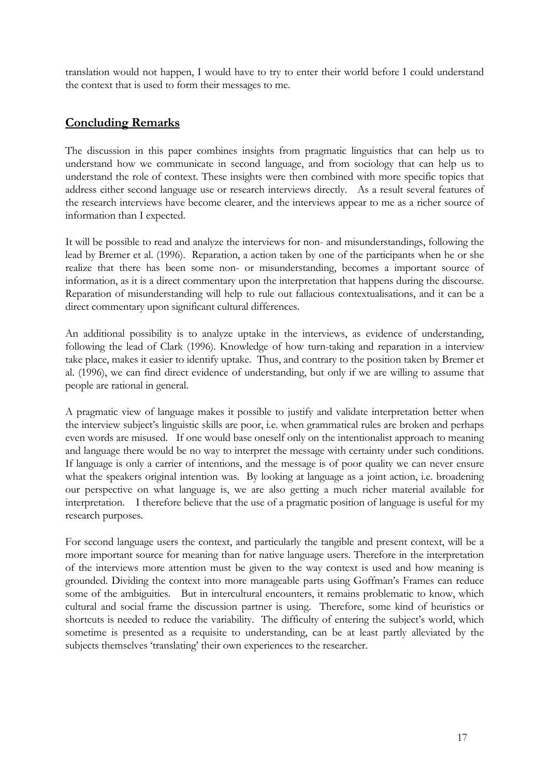<span id="page-18-0"></span>translation would not happen, I would have to try to enter their world before I could understand the context that is used to form their messages to me.

## **Concluding Remarks**

The discussion in this paper combines insights from pragmatic linguistics that can help us to understand how we communicate in second language, and from sociology that can help us to understand the role of context. These insights were then combined with more specific topics that address either second language use or research interviews directly. As a result several features of the research interviews have become clearer, and the interviews appear to me as a richer source of information than I expected.

It will be possible to read and analyze the interviews for non- and misunderstandings, following the lead by Bremer et al. (1996). Reparation, a action taken by one of the participants when he or she realize that there has been some non- or misunderstanding, becomes a important source of information, as it is a direct commentary upon the interpretation that happens during the discourse. Reparation of misunderstanding will help to rule out fallacious contextualisations, and it can be a direct commentary upon significant cultural differences.

An additional possibility is to analyze uptake in the interviews, as evidence of understanding, following the lead of Clark (1996). Knowledge of how turn-taking and reparation in a interview take place, makes it easier to identify uptake. Thus, and contrary to the position taken by Bremer et al. (1996), we can find direct evidence of understanding, but only if we are willing to assume that people are rational in general.

A pragmatic view of language makes it possible to justify and validate interpretation better when the interview subject's linguistic skills are poor, i.e. when grammatical rules are broken and perhaps even words are misused. If one would base oneself only on the intentionalist approach to meaning and language there would be no way to interpret the message with certainty under such conditions. If language is only a carrier of intentions, and the message is of poor quality we can never ensure what the speakers original intention was. By looking at language as a joint action, i.e. broadening our perspective on what language is, we are also getting a much richer material available for interpretation. I therefore believe that the use of a pragmatic position of language is useful for my research purposes.

For second language users the context, and particularly the tangible and present context, will be a more important source for meaning than for native language users. Therefore in the interpretation of the interviews more attention must be given to the way context is used and how meaning is grounded. Dividing the context into more manageable parts using Goffman's Frames can reduce some of the ambiguities. But in intercultural encounters, it remains problematic to know, which cultural and social frame the discussion partner is using. Therefore, some kind of heuristics or shortcuts is needed to reduce the variability. The difficulty of entering the subject's world, which sometime is presented as a requisite to understanding, can be at least partly alleviated by the subjects themselves 'translating' their own experiences to the researcher.